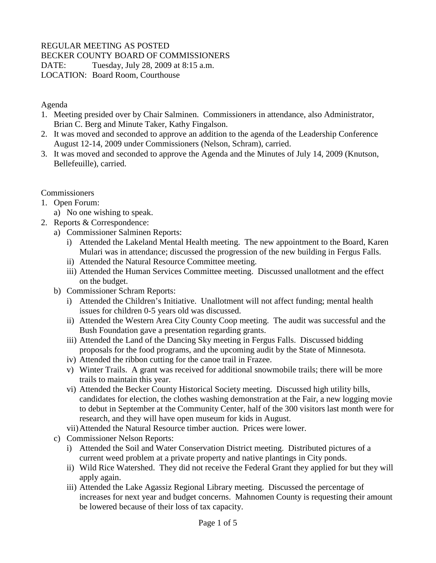## REGULAR MEETING AS POSTED

## BECKER COUNTY BOARD OF COMMISSIONERS

DATE: Tuesday, July 28, 2009 at 8:15 a.m.

LOCATION: Board Room, Courthouse

Agenda

- 1. Meeting presided over by Chair Salminen. Commissioners in attendance, also Administrator, Brian C. Berg and Minute Taker, Kathy Fingalson.
- 2. It was moved and seconded to approve an addition to the agenda of the Leadership Conference August 12-14, 2009 under Commissioners (Nelson, Schram), carried.
- 3. It was moved and seconded to approve the Agenda and the Minutes of July 14, 2009 (Knutson, Bellefeuille), carried.

**Commissioners** 

- 1. Open Forum:
	- a) No one wishing to speak.
- 2. Reports & Correspondence:
	- a) Commissioner Salminen Reports:
		- i) Attended the Lakeland Mental Health meeting. The new appointment to the Board, Karen Mulari was in attendance; discussed the progression of the new building in Fergus Falls.
		- ii) Attended the Natural Resource Committee meeting.
		- iii) Attended the Human Services Committee meeting. Discussed unallotment and the effect on the budget.
	- b) Commissioner Schram Reports:
		- i) Attended the Children's Initiative. Unallotment will not affect funding; mental health issues for children 0-5 years old was discussed.
		- ii) Attended the Western Area City County Coop meeting. The audit was successful and the Bush Foundation gave a presentation regarding grants.
		- iii) Attended the Land of the Dancing Sky meeting in Fergus Falls. Discussed bidding proposals for the food programs, and the upcoming audit by the State of Minnesota.
		- iv) Attended the ribbon cutting for the canoe trail in Frazee.
		- v) Winter Trails. A grant was received for additional snowmobile trails; there will be more trails to maintain this year.
		- vi) Attended the Becker County Historical Society meeting. Discussed high utility bills, candidates for election, the clothes washing demonstration at the Fair, a new logging movie to debut in September at the Community Center, half of the 300 visitors last month were for research, and they will have open museum for kids in August.
		- vii)Attended the Natural Resource timber auction. Prices were lower.
	- c) Commissioner Nelson Reports:
		- i) Attended the Soil and Water Conservation District meeting. Distributed pictures of a current weed problem at a private property and native plantings in City ponds.
		- ii) Wild Rice Watershed. They did not receive the Federal Grant they applied for but they will apply again.
		- iii) Attended the Lake Agassiz Regional Library meeting. Discussed the percentage of increases for next year and budget concerns. Mahnomen County is requesting their amount be lowered because of their loss of tax capacity.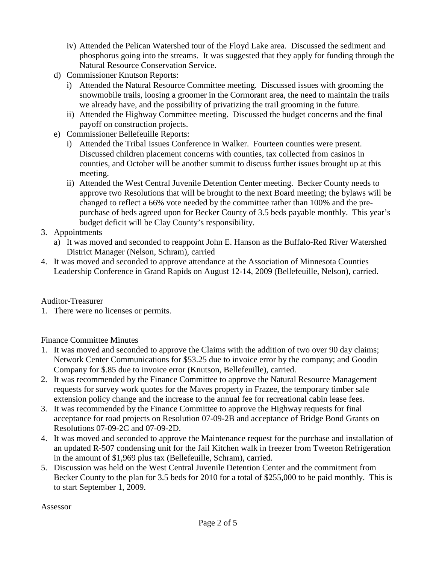- iv) Attended the Pelican Watershed tour of the Floyd Lake area. Discussed the sediment and phosphorus going into the streams. It was suggested that they apply for funding through the Natural Resource Conservation Service.
- d) Commissioner Knutson Reports:
	- i) Attended the Natural Resource Committee meeting. Discussed issues with grooming the snowmobile trails, loosing a groomer in the Cormorant area, the need to maintain the trails we already have, and the possibility of privatizing the trail grooming in the future.
	- ii) Attended the Highway Committee meeting. Discussed the budget concerns and the final payoff on construction projects.
- e) Commissioner Bellefeuille Reports:
	- i) Attended the Tribal Issues Conference in Walker. Fourteen counties were present. Discussed children placement concerns with counties, tax collected from casinos in counties, and October will be another summit to discuss further issues brought up at this meeting.
	- ii) Attended the West Central Juvenile Detention Center meeting. Becker County needs to approve two Resolutions that will be brought to the next Board meeting; the bylaws will be changed to reflect a 66% vote needed by the committee rather than 100% and the prepurchase of beds agreed upon for Becker County of 3.5 beds payable monthly. This year's budget deficit will be Clay County's responsibility.
- 3. Appointments
	- a) It was moved and seconded to reappoint John E. Hanson as the Buffalo-Red River Watershed District Manager (Nelson, Schram), carried
- 4. It was moved and seconded to approve attendance at the Association of Minnesota Counties Leadership Conference in Grand Rapids on August 12-14, 2009 (Bellefeuille, Nelson), carried.

## Auditor-Treasurer

1. There were no licenses or permits.

## Finance Committee Minutes

- 1. It was moved and seconded to approve the Claims with the addition of two over 90 day claims; Network Center Communications for \$53.25 due to invoice error by the company; and Goodin Company for \$.85 due to invoice error (Knutson, Bellefeuille), carried.
- 2. It was recommended by the Finance Committee to approve the Natural Resource Management requests for survey work quotes for the Maves property in Frazee, the temporary timber sale extension policy change and the increase to the annual fee for recreational cabin lease fees.
- 3. It was recommended by the Finance Committee to approve the Highway requests for final acceptance for road projects on Resolution 07-09-2B and acceptance of Bridge Bond Grants on Resolutions 07-09-2C and 07-09-2D.
- 4. It was moved and seconded to approve the Maintenance request for the purchase and installation of an updated R-507 condensing unit for the Jail Kitchen walk in freezer from Tweeton Refrigeration in the amount of \$1,969 plus tax (Bellefeuille, Schram), carried.
- 5. Discussion was held on the West Central Juvenile Detention Center and the commitment from Becker County to the plan for 3.5 beds for 2010 for a total of \$255,000 to be paid monthly. This is to start September 1, 2009.

Assessor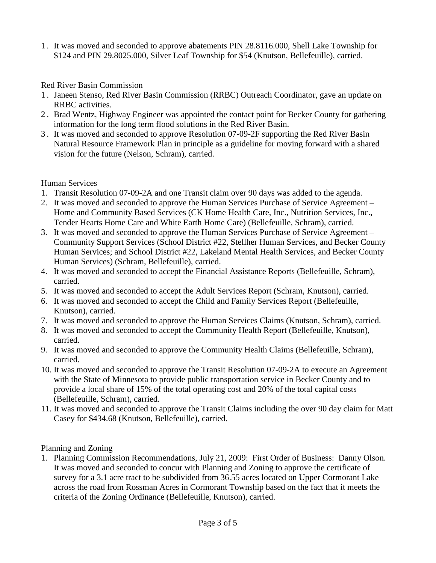1 . It was moved and seconded to approve abatements PIN 28.8116.000, Shell Lake Township for \$124 and PIN 29.8025.000, Silver Leaf Township for \$54 (Knutson, Bellefeuille), carried.

Red River Basin Commission

- 1 . Janeen Stenso, Red River Basin Commission (RRBC) Outreach Coordinator, gave an update on RRBC activities.
- 2 . Brad Wentz, Highway Engineer was appointed the contact point for Becker County for gathering information for the long term flood solutions in the Red River Basin.
- 3 . It was moved and seconded to approve Resolution 07-09-2F supporting the Red River Basin Natural Resource Framework Plan in principle as a guideline for moving forward with a shared vision for the future (Nelson, Schram), carried.

Human Services

- 1. Transit Resolution 07-09-2A and one Transit claim over 90 days was added to the agenda.
- 2. It was moved and seconded to approve the Human Services Purchase of Service Agreement Home and Community Based Services (CK Home Health Care, Inc., Nutrition Services, Inc., Tender Hearts Home Care and White Earth Home Care) (Bellefeuille, Schram), carried.
- 3. It was moved and seconded to approve the Human Services Purchase of Service Agreement Community Support Services (School District #22, Stellher Human Services, and Becker County Human Services; and School District #22, Lakeland Mental Health Services, and Becker County Human Services) (Schram, Bellefeuille), carried.
- 4. It was moved and seconded to accept the Financial Assistance Reports (Bellefeuille, Schram), carried.
- 5. It was moved and seconded to accept the Adult Services Report (Schram, Knutson), carried.
- 6. It was moved and seconded to accept the Child and Family Services Report (Bellefeuille, Knutson), carried.
- 7. It was moved and seconded to approve the Human Services Claims (Knutson, Schram), carried.
- 8. It was moved and seconded to accept the Community Health Report (Bellefeuille, Knutson), carried.
- 9. It was moved and seconded to approve the Community Health Claims (Bellefeuille, Schram), carried.
- 10. It was moved and seconded to approve the Transit Resolution 07-09-2A to execute an Agreement with the State of Minnesota to provide public transportation service in Becker County and to provide a local share of 15% of the total operating cost and 20% of the total capital costs (Bellefeuille, Schram), carried.
- 11. It was moved and seconded to approve the Transit Claims including the over 90 day claim for Matt Casey for \$434.68 (Knutson, Bellefeuille), carried.

Planning and Zoning

1. Planning Commission Recommendations, July 21, 2009: First Order of Business: Danny Olson. It was moved and seconded to concur with Planning and Zoning to approve the certificate of survey for a 3.1 acre tract to be subdivided from 36.55 acres located on Upper Cormorant Lake across the road from Rossman Acres in Cormorant Township based on the fact that it meets the criteria of the Zoning Ordinance (Bellefeuille, Knutson), carried.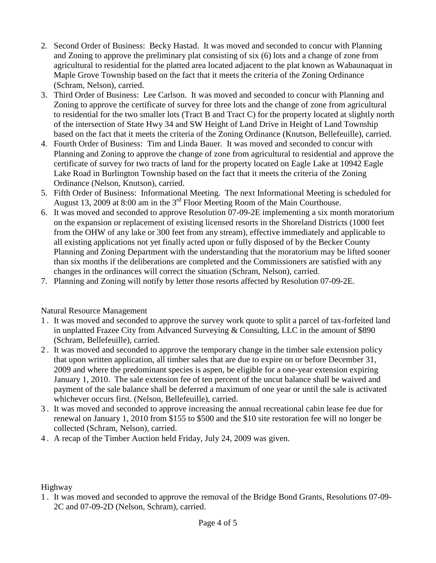- 2. Second Order of Business: Becky Hastad. It was moved and seconded to concur with Planning and Zoning to approve the preliminary plat consisting of six (6) lots and a change of zone from agricultural to residential for the platted area located adjacent to the plat known as Wabaunaquat in Maple Grove Township based on the fact that it meets the criteria of the Zoning Ordinance (Schram, Nelson), carried.
- 3. Third Order of Business: Lee Carlson. It was moved and seconded to concur with Planning and Zoning to approve the certificate of survey for three lots and the change of zone from agricultural to residential for the two smaller lots (Tract B and Tract C) for the property located at slightly north of the intersection of State Hwy 34 and SW Height of Land Drive in Height of Land Township based on the fact that it meets the criteria of the Zoning Ordinance (Knutson, Bellefeuille), carried.
- 4. Fourth Order of Business: Tim and Linda Bauer. It was moved and seconded to concur with Planning and Zoning to approve the change of zone from agricultural to residential and approve the certificate of survey for two tracts of land for the property located on Eagle Lake at 10942 Eagle Lake Road in Burlington Township based on the fact that it meets the criteria of the Zoning Ordinance (Nelson, Knutson), carried.
- 5. Fifth Order of Business: Informational Meeting. The next Informational Meeting is scheduled for August 13, 2009 at 8:00 am in the 3rd Floor Meeting Room of the Main Courthouse.
- 6. It was moved and seconded to approve Resolution 07-09-2E implementing a six month moratorium on the expansion or replacement of existing licensed resorts in the Shoreland Districts (1000 feet from the OHW of any lake or 300 feet from any stream), effective immediately and applicable to all existing applications not yet finally acted upon or fully disposed of by the Becker County Planning and Zoning Department with the understanding that the moratorium may be lifted sooner than six months if the deliberations are completed and the Commissioners are satisfied with any changes in the ordinances will correct the situation (Schram, Nelson), carried.
- 7. Planning and Zoning will notify by letter those resorts affected by Resolution 07-09-2E.

Natural Resource Management

- 1 . It was moved and seconded to approve the survey work quote to split a parcel of tax-forfeited land in unplatted Frazee City from Advanced Surveying & Consulting, LLC in the amount of \$890 (Schram, Bellefeuille), carried.
- 2 . It was moved and seconded to approve the temporary change in the timber sale extension policy that upon written application, all timber sales that are due to expire on or before December 31, 2009 and where the predominant species is aspen, be eligible for a one-year extension expiring January 1, 2010. The sale extension fee of ten percent of the uncut balance shall be waived and payment of the sale balance shall be deferred a maximum of one year or until the sale is activated whichever occurs first. (Nelson, Bellefeuille), carried.
- 3 . It was moved and seconded to approve increasing the annual recreational cabin lease fee due for renewal on January 1, 2010 from \$155 to \$500 and the \$10 site restoration fee will no longer be collected (Schram, Nelson), carried.
- 4 . A recap of the Timber Auction held Friday, July 24, 2009 was given.

Highway

1 . It was moved and seconded to approve the removal of the Bridge Bond Grants, Resolutions 07-09- 2C and 07-09-2D (Nelson, Schram), carried.